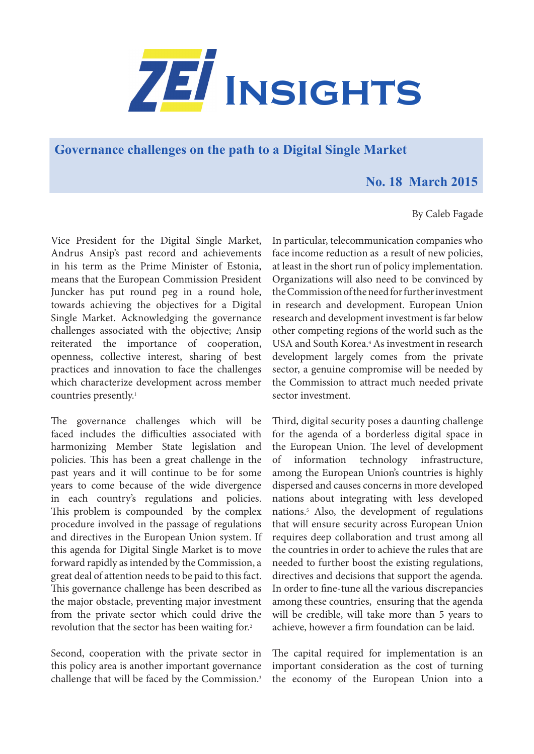

**Governance challenges on the path to a Digital Single Market** 

## **No. 18 March 2015**

## By Caleb Fagade

Vice President for the Digital Single Market, Andrus Ansip's past record and achievements in his term as the Prime Minister of Estonia, means that the European Commission President Juncker has put round peg in a round hole, towards achieving the objectives for a Digital Single Market. Acknowledging the governance challenges associated with the objective; Ansip reiterated the importance of cooperation, openness, collective interest, sharing of best practices and innovation to face the challenges which characterize development across member countries presently.1

The governance challenges which will be faced includes the difficulties associated with harmonizing Member State legislation and policies. This has been a great challenge in the past years and it will continue to be for some years to come because of the wide divergence in each country's regulations and policies. This problem is compounded by the complex procedure involved in the passage of regulations and directives in the European Union system. If this agenda for Digital Single Market is to move forward rapidly as intended by the Commission, a great deal of attention needs to be paid to this fact. This governance challenge has been described as the major obstacle, preventing major investment from the private sector which could drive the revolution that the sector has been waiting for.<sup>2</sup>

Second, cooperation with the private sector in this policy area is another important governance challenge that will be faced by the Commission.<sup>3</sup> In particular, telecommunication companies who face income reduction as a result of new policies, at least in the short run of policy implementation. Organizations will also need to be convinced by the Commission of the need for further investment in research and development. European Union research and development investment is far below other competing regions of the world such as the USA and South Korea.<sup>4</sup> As investment in research development largely comes from the private sector, a genuine compromise will be needed by the Commission to attract much needed private sector investment.

Third, digital security poses a daunting challenge for the agenda of a borderless digital space in the European Union. The level of development of information technology infrastructure, among the European Union's countries is highly dispersed and causes concerns in more developed nations about integrating with less developed nations.5 Also, the development of regulations that will ensure security across European Union requires deep collaboration and trust among all the countries in order to achieve the rules that are needed to further boost the existing regulations, directives and decisions that support the agenda. In order to fine-tune all the various discrepancies among these countries, ensuring that the agenda will be credible, will take more than 5 years to achieve, however a firm foundation can be laid.

The capital required for implementation is an important consideration as the cost of turning the economy of the European Union into a